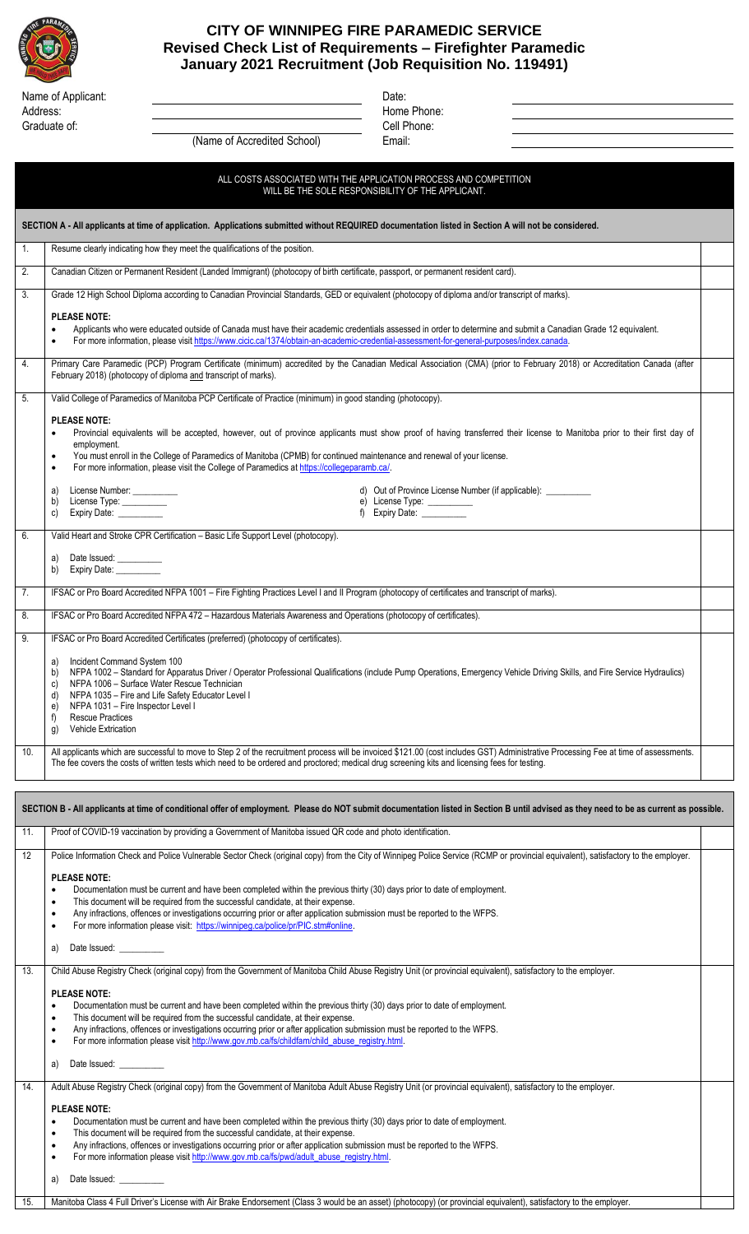

## **CITY OF WINNIPEG FIRE PARAMEDIC SERVICE Revised Check List of Requirements – Firefighter Paramedic January 2021 Recruitment (Job Requisition No. 119491)**

| Name of Applicant: | Date: |
|--------------------|-------|
| Address:           | Home  |
| Graduate of:       | F اام |

Home Phone: ate of: Cell Phone:

|                  | (Name of Accredited School)<br>Email:                                                                                                                                                                                                                                                                                            |
|------------------|----------------------------------------------------------------------------------------------------------------------------------------------------------------------------------------------------------------------------------------------------------------------------------------------------------------------------------|
|                  |                                                                                                                                                                                                                                                                                                                                  |
|                  | ALL COSTS ASSOCIATED WITH THE APPLICATION PROCESS AND COMPETITION<br>WILL BE THE SOLE RESPONSIBILITY OF THE APPLICANT.                                                                                                                                                                                                           |
|                  | SECTION A - All applicants at time of application. Applications submitted without REQUIRED documentation listed in Section A will not be considered.                                                                                                                                                                             |
| $\mathbf{1}$ .   | Resume clearly indicating how they meet the qualifications of the position.                                                                                                                                                                                                                                                      |
| 2.               | Canadian Citizen or Permanent Resident (Landed Immigrant) (photocopy of birth certificate, passport, or permanent resident card).                                                                                                                                                                                                |
| $\overline{3}$ . | Grade 12 High School Diploma according to Canadian Provincial Standards, GED or equivalent (photocopy of diploma and/or transcript of marks).                                                                                                                                                                                    |
|                  | <b>PLEASE NOTE:</b><br>Applicants who were educated outside of Canada must have their academic credentials assessed in order to determine and submit a Canadian Grade 12 equivalent.<br>For more information, please visit https://www.cicic.ca/1374/obtain-an-academic-credential-assessment-for-general-purposes/index.canada. |
| 4.               | Primary Care Paramedic (PCP) Program Certificate (minimum) accredited by the Canadian Medical Association (CMA) (prior to February 2018) or Accreditation Canada (after                                                                                                                                                          |

## February 2018) (photocopy of diploma and transcript of marks). 5. Valid College of Paramedics of Manitoba PCP Certificate of Practice (minimum) in good standing (photocopy).

## **PLEASE NOTE:**

| Provincial equivalents will be accepted, however, out of province applicants must show proof of having transferred their license to Manitoba prior to their first day of |  |  |  |
|--------------------------------------------------------------------------------------------------------------------------------------------------------------------------|--|--|--|
| employment.                                                                                                                                                              |  |  |  |

|  | You must enroll in the College of Paramedics of Manitoba (CPMB) for continued maintenance and renewal of your license. |
|--|------------------------------------------------------------------------------------------------------------------------|
|  | For more information, please visit the College of Paramedics at https://collegeparamb.ca/                              |

|    | License Number: __________<br>a)<br>License Type: __________<br>b)<br>Expiry Date: __________<br>C)                                           | d) Out of Province License Number (if applicable): __________<br>e) License Type: __________<br>f) Expiry Date: |  |
|----|-----------------------------------------------------------------------------------------------------------------------------------------------|-----------------------------------------------------------------------------------------------------------------|--|
|    | Valid Heart and Stroke CPR Certification – Basic Life Support Level (photocopy).                                                              |                                                                                                                 |  |
|    | Date Issued: __________<br>a)<br>Expiry Date: __________<br>b)                                                                                |                                                                                                                 |  |
|    | IFSAC or Pro Board Accredited NFPA 1001 – Fire Fighting Practices Level I and II Program (photocopy of certificates and transcript of marks). |                                                                                                                 |  |
| 8. | IFSAC or Pro Board Accredited NFPA 472 - Hazardous Materials Awareness and Operations (photocopy of certificates).                            |                                                                                                                 |  |
| 9. | IFSAC or Pro Board Accredited Certificates (preferred) (photocopy of certificates).                                                           |                                                                                                                 |  |
|    | Incident Command System 100<br>a)                                                                                                             |                                                                                                                 |  |

| l a) | Incident Command System 100 |  |
|------|-----------------------------|--|
|      |                             |  |

b) NFPA 1002 – Standard for Apparatus Driver / Operator Professional Qualifications (include Pump Operations, Emergency Vehicle Driving Skills, and Fire Service Hydraulics) c) NFPA 1006 – Surface Water Rescue Technician

- d) NFPA 1035 Fire and Life Safety Educator Level I
- 
- e) NFPA 1031 Fire Inspector Level I f) Rescue Practices
- g) Vehicle Extrication
- 

10. All applicants which are successful to move to Step 2 of the recruitment process will be invoiced \$121.00 (cost includes GST) Administrative Processing Fee at time of assessments. The fee covers the costs of written tests which need to be ordered and proctored; medical drug screening kits and licensing fees for testing.

## **SECTION B - All applicants at time of conditional offer of employment. Please do NOT submit documentation listed in Section B until advised as they need to be as current as possible.**

| 11. | Proof of COVID-19 vaccination by providing a Government of Manitoba issued QR code and photo identification.                                                                                                                                                                                                                                                                                                                                                                                                                                                                                                                                                                                                                                                                                                                                                                                                     |  |
|-----|------------------------------------------------------------------------------------------------------------------------------------------------------------------------------------------------------------------------------------------------------------------------------------------------------------------------------------------------------------------------------------------------------------------------------------------------------------------------------------------------------------------------------------------------------------------------------------------------------------------------------------------------------------------------------------------------------------------------------------------------------------------------------------------------------------------------------------------------------------------------------------------------------------------|--|
| 12  | Police Information Check and Police Vulnerable Sector Check (original copy) from the City of Winnipeg Police Service (RCMP or provincial equivalent), satisfactory to the employer.<br><b>PLEASE NOTE:</b><br>Documentation must be current and have been completed within the previous thirty (30) days prior to date of employment.<br>$\bullet$<br>This document will be required from the successful candidate, at their expense.<br>$\bullet$<br>Any infractions, offences or investigations occurring prior or after application submission must be reported to the WFPS.<br>$\bullet$<br>For more information please visit: https://winnipeg.ca/police/pr/PIC.stm#online.<br>$\bullet$                                                                                                                                                                                                                    |  |
|     | Date Issued: Note that the part of the paint of the paint of the paint of the paint of the paint of the paint of the paint of the paint of the paint of the paint of the paint of the paint of the paint of the paint of the p<br>a)                                                                                                                                                                                                                                                                                                                                                                                                                                                                                                                                                                                                                                                                             |  |
| 13. | Child Abuse Registry Check (original copy) from the Government of Manitoba Child Abuse Registry Unit (or provincial equivalent), satisfactory to the employer.<br><b>PLEASE NOTE:</b><br>Documentation must be current and have been completed within the previous thirty (30) days prior to date of employment.<br>This document will be required from the successful candidate, at their expense.<br>$\bullet$<br>Any infractions, offences or investigations occurring prior or after application submission must be reported to the WFPS.<br>$\bullet$<br>For more information please visit http://www.gov.mb.ca/fs/childfam/child_abuse_registry.html.<br>$\bullet$<br>Date Issued: Note that the part of the paint of the paint of the paint of the paint of the paint of the paint of the paint of the paint of the paint of the paint of the paint of the paint of the paint of the paint of the p<br>a) |  |
| 14. | Adult Abuse Registry Check (original copy) from the Government of Manitoba Adult Abuse Registry Unit (or provincial equivalent), satisfactory to the employer.<br><b>PLEASE NOTE:</b><br>Documentation must be current and have been completed within the previous thirty (30) days prior to date of employment.<br>This document will be required from the successful candidate, at their expense.<br>$\bullet$<br>Any infractions, offences or investigations occurring prior or after application submission must be reported to the WFPS.<br>$\bullet$<br>For more information please visit http://www.gov.mb.ca/fs/pwd/adult_abuse_registry.html.<br>$\bullet$<br>Date Issued: Note that the property of the property of the property of the Date of the Date of the D<br>a)                                                                                                                                |  |
| 15. | Manitoba Class 4 Full Driver's License with Air Brake Endorsement (Class 3 would be an asset) (photocopy) (or provincial equivalent), satisfactory to the employer.                                                                                                                                                                                                                                                                                                                                                                                                                                                                                                                                                                                                                                                                                                                                              |  |